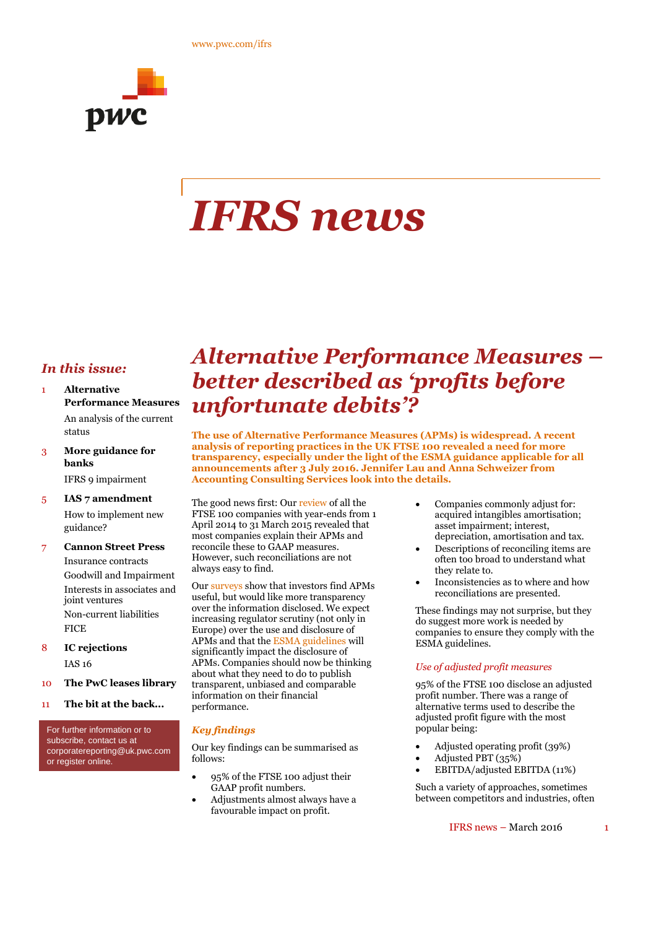

# *IFRS news*

# *In this issue:*

- 1 **Alternative Performance Measures** An analysis of the current status
- 3 **More guidance for banks** IFRS 9 impairment
- 5 **IAS 7 amendment** How to implement new guidance?
- 7 **Cannon Street Press** Insurance contracts Goodwill and Impairment Interests in associates and joint ventures Non-current liabilities **FICE**
- 8 **IC rejections** IAS 16
- 10 **The PwC leases library**
- 11 **The bit at the back...**

For further information or to subscribe, contact us at corporatereporting@uk.pwc.com or register online.

# *Alternative Performance Measures – better described as 'profits before unfortunate debits'?*

**The use of Alternative Performance Measures (APMs) is widespread. A recent analysis of reporting practices in the UK FTSE 100 revealed a need for more transparency, especially under the light of the ESMA guidance applicable for all announcements after 3 July 2016. Jennifer Lau and Anna Schweizer from Accounting Consulting Services look into the details.**

The good news first: Our review of all the FTSE 100 companies with year-ends from 1 April 2014 to 31 March 2015 revealed that most companies explain their APMs and reconcile these to GAAP measures. However, such reconciliations are not always easy to find.

Our surveys show that investors find APMs useful, but would like more transparency over the information disclosed. We expect increasing regulator scrutiny (not only in Europe) over the use and disclosure of APMs and that the ESMA guidelines will significantly impact the disclosure of APMs. Companies should now be thinking about what they need to do to publish transparent, unbiased and comparable information on their financial performance.

### *Key findings*

Our key findings can be summarised as follows:

- 95% of the FTSE 100 adjust their GAAP profit numbers.
- Adjustments almost always have a favourable impact on profit.
- Companies commonly adjust for: acquired intangibles amortisation; asset impairment; interest, depreciation, amortisation and tax.
- Descriptions of reconciling items are often too broad to understand what they relate to.
- Inconsistencies as to where and how reconciliations are presented.

These findings may not surprise, but they do suggest more work is needed by companies to ensure they comply with the ESMA guidelines.

#### *Use of adjusted profit measures*

95% of the FTSE 100 disclose an adjusted profit number. There was a range of alternative terms used to describe the adjusted profit figure with the most popular being:

- Adjusted operating profit (39%)
- Adjusted PBT (35%)
- EBITDA/adjusted EBITDA (11%)

Such a variety of approaches, sometimes between competitors and industries, often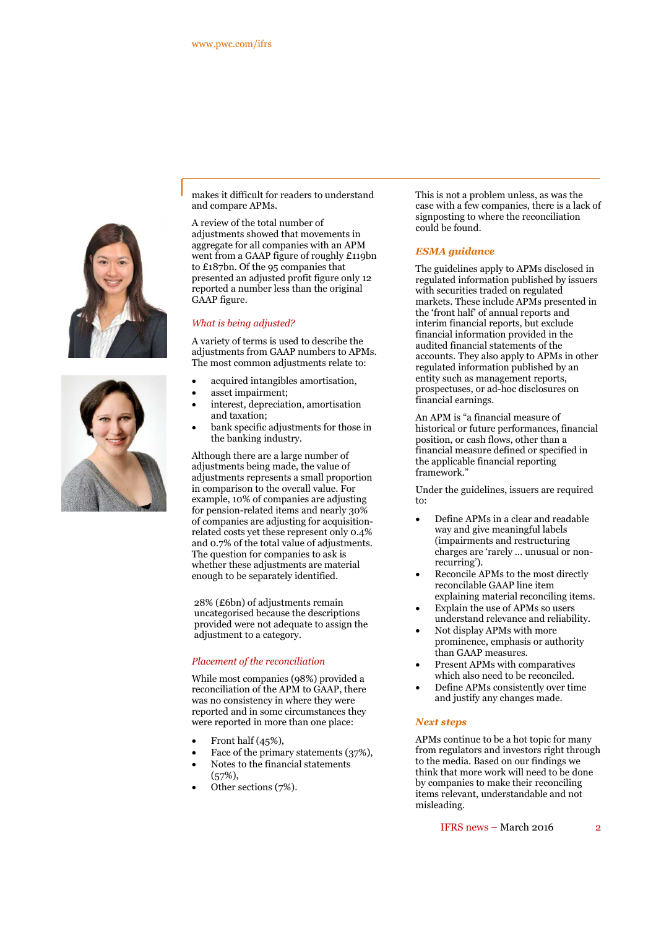



makes it difficult for readers to understand and compare APMs.

A review of the total number of adjustments showed that movements in aggregate for all companies with an APM went from a GAAP figure of roughly £119bn to £187bn. Of the 95 companies that presented an adjusted profit figure only 12 reported a number less than the original GAAP figure.

#### *What is being adjusted?*

A variety of terms is used to describe the adjustments from GAAP numbers to APMs. The most common adjustments relate to:

- acquired intangibles amortisation,
- asset impairment;
- interest, depreciation, amortisation and taxation;
- bank specific adjustments for those in the banking industry.

Although there are a large number of adjustments being made, the value of adjustments represents a small proportion in comparison to the overall value. For example, 10% of companies are adjusting for pension-related items and nearly 30% of companies are adjusting for acquisitionrelated costs yet these represent only 0.4% and 0.7% of the total value of adjustments. The question for companies to ask is whether these adjustments are material enough to be separately identified.

28% (£6bn) of adjustments remain uncategorised because the descriptions provided were not adequate to assign the adjustment to a category.

#### *Placement of the reconciliation*

While most companies (98%) provided a reconciliation of the APM to GAAP, there was no consistency in where they were reported and in some circumstances they were reported in more than one place:

- Front half (45%),
- Face of the primary statements (37%),
- Notes to the financial statements
- $(57\%),$ Other sections (7%).

This is not a problem unless, as was the case with a few companies, there is a lack of signposting to where the reconciliation could be found.

#### *ESMA guidance*

The guidelines apply to APMs disclosed in regulated information published by issuers with securities traded on regulated markets. These include APMs presented in the 'front half' of annual reports and interim financial reports, but exclude financial information provided in the audited financial statements of the accounts. They also apply to APMs in other regulated information published by an entity such as management reports, prospectuses, or ad-hoc disclosures on financial earnings.

An APM is "a financial measure of historical or future performances, financial position, or cash flows, other than a financial measure defined or specified in the applicable financial reporting framework."

Under the guidelines, issuers are required to:

- Define APMs in a clear and readable way and give meaningful labels (impairments and restructuring charges are 'rarely … unusual or nonrecurring').
- Reconcile APMs to the most directly reconcilable GAAP line item explaining material reconciling items.
- Explain the use of APMs so users understand relevance and reliability.
- Not display APMs with more prominence, emphasis or authority than GAAP measures.
- Present APMs with comparatives which also need to be reconciled.
- Define APMs consistently over time and justify any changes made.

#### *Next steps*

APMs continue to be a hot topic for many from regulators and investors right through to the media. Based on our findings we think that more work will need to be done by companies to make their reconciling items relevant, understandable and not misleading.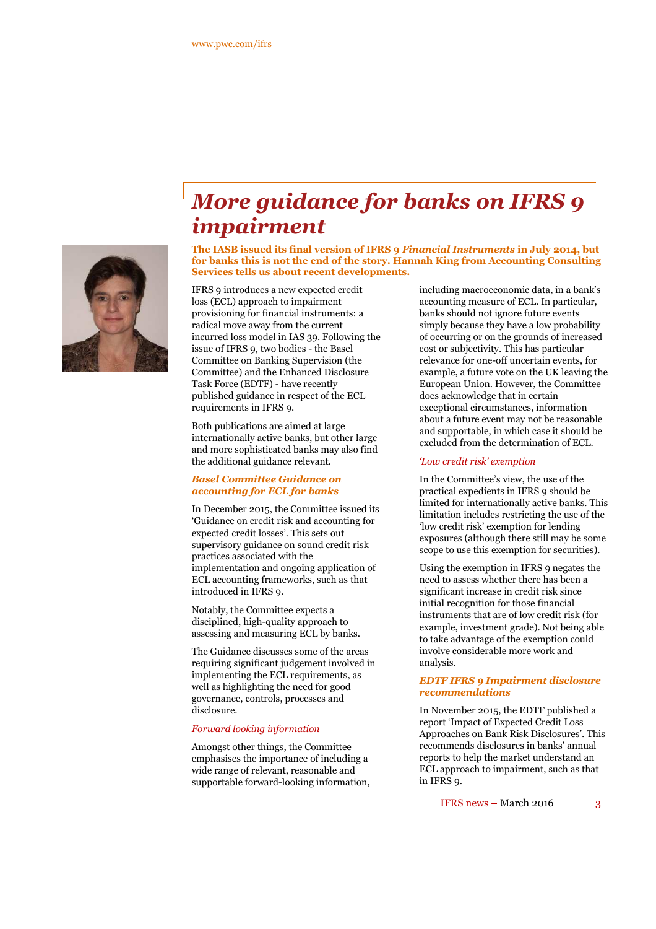

# *More guidance for banks on IFRS 9 impairment*

**The IASB issued its final version of IFRS 9** *Financial Instruments* **in July 2014, but for banks this is not the end of the story. Hannah King from Accounting Consulting Services tells us about recent developments.**

IFRS 9 introduces a new expected credit loss (ECL) approach to impairment provisioning for financial instruments: a radical move away from the current incurred loss model in IAS 39. Following the issue of IFRS 9, two bodies - the Basel Committee on Banking Supervision (the Committee) and the Enhanced Disclosure Task Force (EDTF) - have recently published guidance in respect of the ECL requirements in IFRS 9.

Both publications are aimed at large internationally active banks, but other large and more sophisticated banks may also find the additional guidance relevant.

#### *Basel Committee Guidance on accounting for ECL for banks*

In December 2015, the Committee issued its 'Guidance on credit risk and accounting for expected credit losses'. This sets out supervisory guidance on sound credit risk practices associated with the implementation and ongoing application of ECL accounting frameworks, such as that introduced in IFRS 9.

Notably, the Committee expects a disciplined, high-quality approach to assessing and measuring ECL by banks.

The Guidance discusses some of the areas requiring significant judgement involved in implementing the ECL requirements, as well as highlighting the need for good governance, controls, processes and disclosure.

#### *Forward looking information*

Amongst other things, the Committee emphasises the importance of including a wide range of relevant, reasonable and supportable forward-looking information, including macroeconomic data, in a bank's accounting measure of ECL. In particular, banks should not ignore future events simply because they have a low probability of occurring or on the grounds of increased cost or subjectivity. This has particular relevance for one-off uncertain events, for example, a future vote on the UK leaving the European Union. However, the Committee does acknowledge that in certain exceptional circumstances, information about a future event may not be reasonable and supportable, in which case it should be excluded from the determination of ECL.

#### *'Low credit risk' exemption*

In the Committee's view, the use of the practical expedients in IFRS 9 should be limited for internationally active banks. This limitation includes restricting the use of the 'low credit risk' exemption for lending exposures (although there still may be some scope to use this exemption for securities).

Using the exemption in IFRS 9 negates the need to assess whether there has been a significant increase in credit risk since initial recognition for those financial instruments that are of low credit risk (for example, investment grade). Not being able to take advantage of the exemption could involve considerable more work and analysis.

#### *EDTF IFRS 9 Impairment disclosure recommendations*

In November 2015, the EDTF published a report 'Impact of Expected Credit Loss Approaches on Bank Risk Disclosures'. This recommends disclosures in banks' annual reports to help the market understand an ECL approach to impairment, such as that in IFRS o.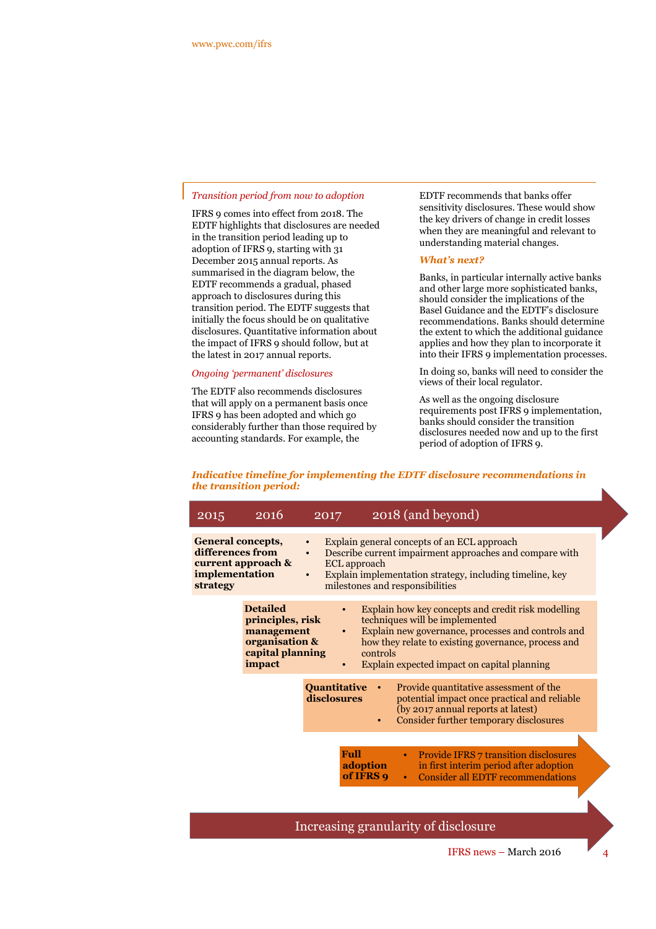#### *Transition period from now to adoption*

IFRS 9 comes into effect from 2018. The EDTF highlights that disclosures are needed in the transition period leading up to adoption of IFRS 9, starting with 31 December 2015 annual reports. As summarised in the diagram below, the EDTF recommends a gradual, phased approach to disclosures during this transition period. The EDTF suggests that initially the focus should be on qualitative disclosures. Quantitative information about the impact of IFRS 9 should follow, but at the latest in 2017 annual reports.

#### *Ongoing 'permanent' disclosures*

The EDTF also recommends disclosures that will apply on a permanent basis once IFRS 9 has been adopted and which go considerably further than those required by accounting standards. For example, the

EDTF recommends that banks offer sensitivity disclosures. These would show the key drivers of change in credit losses when they are meaningful and relevant to understanding material changes.

#### *What's next?*

Banks, in particular internally active banks and other large more sophisticated banks, should consider the implications of the Basel Guidance and the EDTF's disclosure recommendations. Banks should determine the extent to which the additional guidance applies and how they plan to incorporate it into their IFRS 9 implementation processes.

In doing so, banks will need to consider the views of their local regulator.

As well as the ongoing disclosure requirements post IFRS 9 implementation, banks should consider the transition disclosures needed now and up to the first period of adoption of IFRS 9.

#### *Indicative timeline for implementing the EDTF disclosure recommendations in the transition period:*

| 2015                                                                              | 2016                                                                                              | 2017                          |                       | 2018 (and beyond)                                                                                                                                                                                                                                |
|-----------------------------------------------------------------------------------|---------------------------------------------------------------------------------------------------|-------------------------------|-----------------------|--------------------------------------------------------------------------------------------------------------------------------------------------------------------------------------------------------------------------------------------------|
| <b>General concepts,</b><br>differences from<br>implementation<br><b>strategy</b> | current approach &                                                                                | $\bullet$<br>ECL approach     |                       | Explain general concepts of an ECL approach<br>Describe current impairment approaches and compare with<br>Explain implementation strategy, including timeline, key<br>milestones and responsibilities                                            |
|                                                                                   | <b>Detailed</b><br>principles, risk<br>management<br>organisation &<br>capital planning<br>impact | $\bullet$<br>$\bullet$        | controls              | Explain how key concepts and credit risk modelling<br>techniques will be implemented<br>Explain new governance, processes and controls and<br>how they relate to existing governance, process and<br>Explain expected impact on capital planning |
|                                                                                   |                                                                                                   | Quantitative •<br>disclosures |                       | Provide quantitative assessment of the<br>potential impact once practical and reliable<br>(by 2017 annual reports at latest)<br>Consider further temporary disclosures                                                                           |
|                                                                                   |                                                                                                   | <b>Full</b>                   | adoption<br>of IFRS 9 | <b>Provide IFRS 7 transition disclosures</b><br>٠<br>in first interim period after adoption<br><b>Consider all EDTF recommendations</b><br>$\bullet$                                                                                             |
|                                                                                   |                                                                                                   |                               |                       |                                                                                                                                                                                                                                                  |

Increasing granularity of disclosure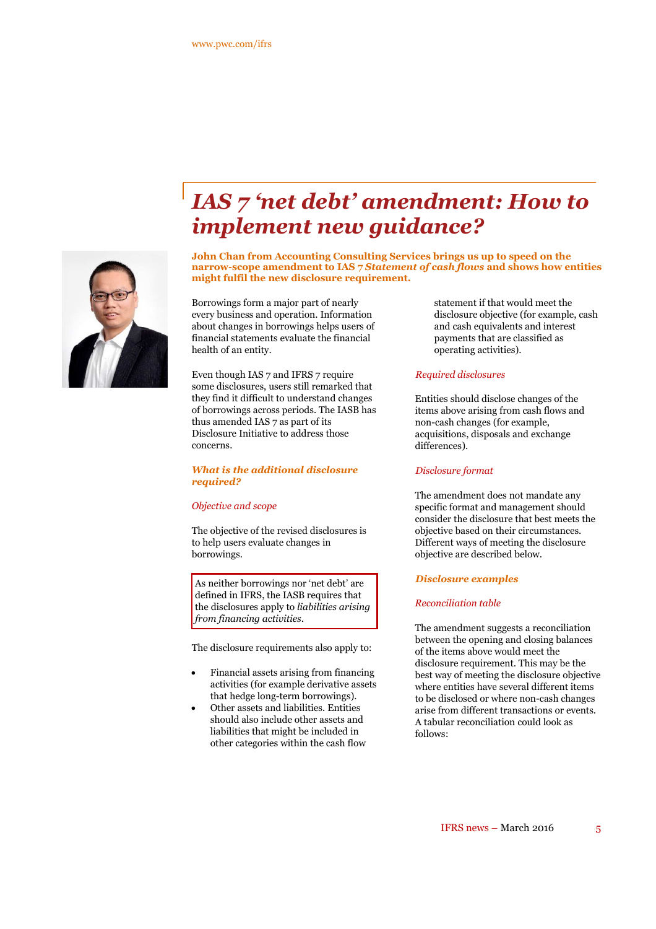

# *IAS 7 'net debt' amendment: How to implement new guidance?*

**John Chan from Accounting Consulting Services brings us up to speed on the narrow-scope amendment to IAS 7** *Statement of cash flows* **and shows how entities might fulfil the new disclosure requirement.**

Borrowings form a major part of nearly every business and operation. Information about changes in borrowings helps users of financial statements evaluate the financial health of an entity.

Even though IAS 7 and IFRS 7 require some disclosures, users still remarked that they find it difficult to understand changes of borrowings across periods. The IASB has thus amended IAS 7 as part of its Disclosure Initiative to address those concerns.

#### *What is the additional disclosure required?*

#### *Objective and scope*

The objective of the revised disclosures is to help users evaluate changes in borrowings.

As neither borrowings nor 'net debt' are defined in IFRS, the IASB requires that the disclosures apply to *liabilities arising from financing activities*.

The disclosure requirements also apply to:

- Financial assets arising from financing activities (for example derivative assets that hedge long-term borrowings).
- Other assets and liabilities. Entities should also include other assets and liabilities that might be included in other categories within the cash flow

statement if that would meet the disclosure objective (for example, cash and cash equivalents and interest payments that are classified as operating activities).

#### *Required disclosures*

Entities should disclose changes of the items above arising from cash flows and non-cash changes (for example, acquisitions, disposals and exchange differences).

#### *Disclosure format*

The amendment does not mandate any specific format and management should consider the disclosure that best meets the objective based on their circumstances. Different ways of meeting the disclosure objective are described below.

#### *Disclosure examples*

#### *Reconciliation table*

The amendment suggests a reconciliation between the opening and closing balances of the items above would meet the disclosure requirement. This may be the best way of meeting the disclosure objective where entities have several different items to be disclosed or where non-cash changes arise from different transactions or events. A tabular reconciliation could look as follows: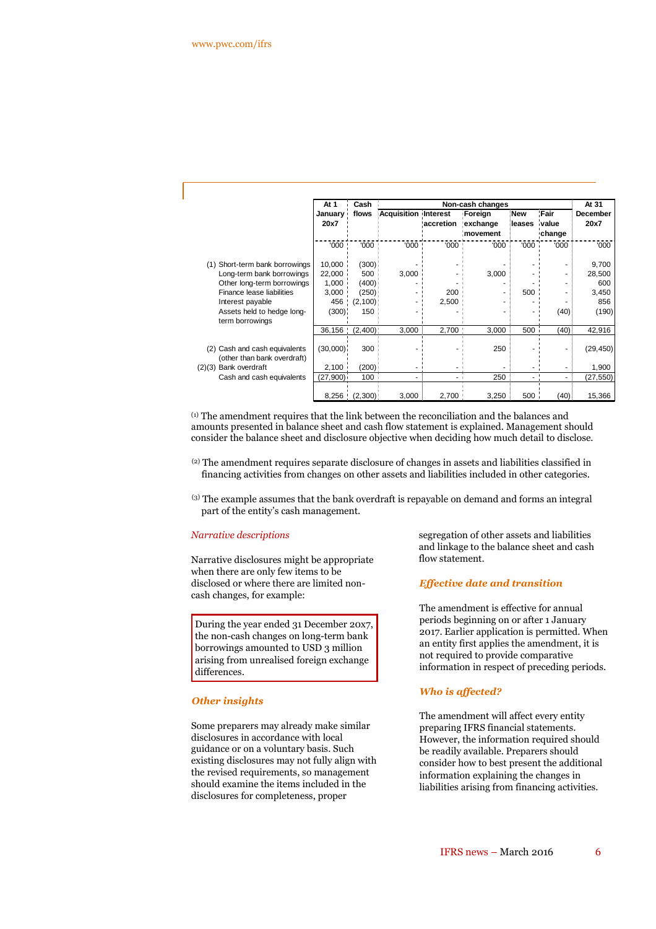|                                                              | At 1<br>January<br>20x7 | Cash<br>flows | Non-cash changes            |           |                      |                      |                 | At 31                   |
|--------------------------------------------------------------|-------------------------|---------------|-----------------------------|-----------|----------------------|----------------------|-----------------|-------------------------|
|                                                              |                         |               | <b>Acquisition Interest</b> |           | Foreign              | <b>New</b><br>leases | Fair            | <b>December</b><br>20x7 |
|                                                              |                         |               |                             | accretion | exchange<br>movement |                      | value<br>change |                         |
|                                                              | '000                    | '000          | '000                        | '000      | '000                 | '000                 | '000            | '000                    |
| Short-term bank borrowings<br>(1)                            | 10,000                  | (300)         |                             |           |                      |                      |                 | 9,700                   |
| Long-term bank borrowings                                    | 22,000                  | 500           | 3,000                       |           | 3,000                |                      |                 | 28,500                  |
| Other long-term borrowings                                   | 1,000                   | (400)         |                             |           |                      |                      |                 | 600                     |
| Finance lease liabilities                                    | 3,000                   | (250)         | ۰                           | 200       |                      | 500                  |                 | 3,450                   |
| Interest payable                                             |                         | 456 (2,100)   |                             | 2,500     |                      |                      |                 | 856                     |
| Assets held to hedge long-<br>term borrowings                | (300)                   | 150           |                             |           |                      |                      | (40)            | (190)                   |
|                                                              | 36,156                  | (2,400)       | 3,000                       | 2,700     | 3,000                | 500                  | (40)            | 42,916                  |
| (2) Cash and cash equivalents<br>(other than bank overdraft) | (30,000)                | 300           |                             |           | 250                  |                      |                 | (29, 450)               |
| (2)(3) Bank overdraft                                        | 2,100                   | (200)         |                             |           |                      |                      |                 | 1,900                   |
| Cash and cash equivalents                                    | (27,900)                | 100           | ٠                           |           | 250                  |                      | ٠               | (27, 550)               |
|                                                              |                         | 8,256 (2,300) | 3,000                       | 2,700     | 3,250                | 500                  | (40)            | 15,366                  |

(1) The amendment requires that the link between the reconciliation and the balances and amounts presented in balance sheet and cash flow statement is explained. Management should consider the balance sheet and disclosure objective when deciding how much detail to disclose.

- (2) The amendment requires separate disclosure of changes in assets and liabilities classified in financing activities from changes on other assets and liabilities included in other categories.
- (3) The example assumes that the bank overdraft is repayable on demand and forms an integral part of the entity's cash management.

#### *Narrative descriptions*

Narrative disclosures might be appropriate when there are only few items to be disclosed or where there are limited noncash changes, for example:

During the year ended 31 December 20x7, the non-cash changes on long-term bank borrowings amounted to USD 3 million arising from unrealised foreign exchange differences.

#### *Other insights*

Some preparers may already make similar disclosures in accordance with local guidance or on a voluntary basis. Such existing disclosures may not fully align with the revised requirements, so management should examine the items included in the disclosures for completeness, proper

segregation of other assets and liabilities and linkage to the balance sheet and cash flow statement.

#### *Effective date and transition*

The amendment is effective for annual periods beginning on or after 1 January 2017. Earlier application is permitted. When an entity first applies the amendment, it is not required to provide comparative information in respect of preceding periods.

#### *Who is affected?*

The amendment will affect every entity preparing IFRS financial statements. However, the information required should be readily available. Preparers should consider how to best present the additional information explaining the changes in liabilities arising from financing activities.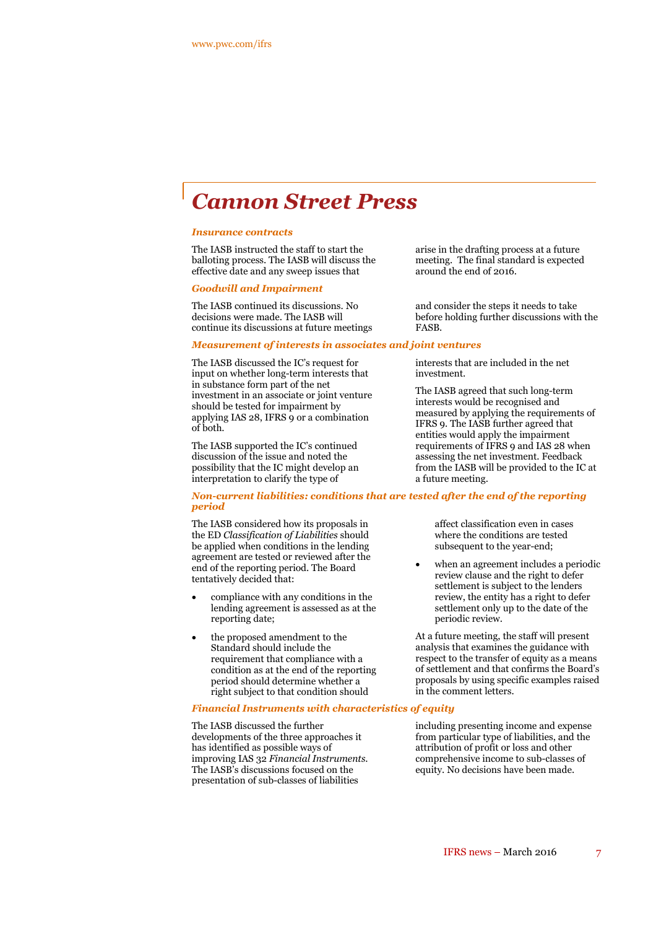# *Cannon Street Press*

#### *Insurance contracts*

The IASB instructed the staff to start the balloting process. The IASB will discuss the effective date and any sweep issues that

#### *Goodwill and Impairment*

The IASB continued its discussions. No decisions were made. The IASB will continue its discussions at future meetings

### *Measurement of interests in associates and joint ventures*

The IASB discussed the IC's request for input on whether long-term interests that in substance form part of the net investment in an associate or joint venture should be tested for impairment by applying IAS 28, IFRS 9 or a combination of both.

The IASB supported the IC's continued discussion of the issue and noted the possibility that the IC might develop an interpretation to clarify the type of

arise in the drafting process at a future meeting. The final standard is expected around the end of 2016.

and consider the steps it needs to take before holding further discussions with the FASB.

interests that are included in the net investment.

The IASB agreed that such long-term interests would be recognised and measured by applying the requirements of IFRS 9. The IASB further agreed that entities would apply the impairment requirements of IFRS 9 and IAS 28 when assessing the net investment. Feedback from the IASB will be provided to the IC at a future meeting.

#### *Non-current liabilities: conditions that are tested after the end of the reporting period*

The IASB considered how its proposals in the ED *Classification of Liabilities* should be applied when conditions in the lending agreement are tested or reviewed after the end of the reporting period. The Board tentatively decided that:

- compliance with any conditions in the lending agreement is assessed as at the reporting date;
- the proposed amendment to the Standard should include the requirement that compliance with a condition as at the end of the reporting period should determine whether a right subject to that condition should

#### *Financial Instruments with characteristics of equity*

The IASB discussed the further developments of the three approaches it has identified as possible ways of improving IAS 32 *Financial Instruments*. The IASB's discussions focused on the presentation of sub-classes of liabilities

affect classification even in cases where the conditions are tested subsequent to the year-end;

 when an agreement includes a periodic review clause and the right to defer settlement is subject to the lenders review, the entity has a right to defer settlement only up to the date of the periodic review.

At a future meeting, the staff will present analysis that examines the guidance with respect to the transfer of equity as a means of settlement and that confirms the Board's proposals by using specific examples raised in the comment letters.

including presenting income and expense from particular type of liabilities, and the attribution of profit or loss and other comprehensive income to sub-classes of equity. No decisions have been made.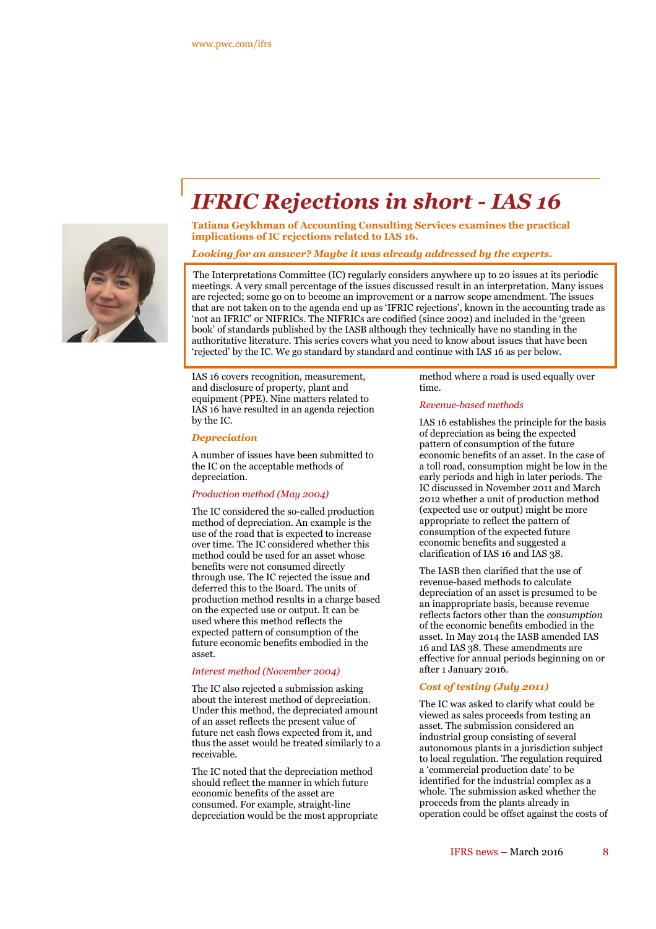

# *IFRIC Rejections in short - IAS 16*

**Tatiana Geykhman of Accounting Consulting Services examines the practical implications of IC rejections related to IAS 16.**

#### *Looking for an answer? Maybe it was already addressed by the experts.*

The Interpretations Committee (IC) regularly considers anywhere up to 20 issues at its periodic meetings. A very small percentage of the issues discussed result in an interpretation. Many issues are rejected; some go on to become an improvement or a narrow scope amendment. The issues that are not taken on to the agenda end up as 'IFRIC rejections', known in the accounting trade as 'not an IFRIC' or NIFRICs. The NIFRICs are codified (since 2002) and included in the 'green book' of standards published by the IASB although they technically have no standing in the authoritative literature. This series covers what you need to know about issues that have been 'rejected' by the IC. We go standard by standard and continue with IAS 16 as per below.

IAS 16 covers recognition, measurement, and disclosure of property, plant and equipment (PPE). Nine matters related to IAS 16 have resulted in an agenda rejection by the IC.

#### *Depreciation*

A number of issues have been submitted to the IC on the acceptable methods of depreciation.

#### *Production method (May 2004)*

The IC considered the so-called production method of depreciation. An example is the use of the road that is expected to increase over time. The IC considered whether this method could be used for an asset whose benefits were not consumed directly through use. The IC rejected the issue and deferred this to the Board. The units of production method results in a charge based on the expected use or output. It can be used where this method reflects the expected pattern of consumption of the future economic benefits embodied in the asset.

#### *Interest method (November 2004)*

The IC also rejected a submission asking about the interest method of depreciation. Under this method, the depreciated amount of an asset reflects the present value of future net cash flows expected from it, and thus the asset would be treated similarly to a receivable.

The IC noted that the depreciation method should reflect the manner in which future economic benefits of the asset are consumed. For example, straight-line depreciation would be the most appropriate method where a road is used equally over time.

#### *Revenue-based methods*

IAS 16 establishes the principle for the basis of depreciation as being the expected pattern of consumption of the future economic benefits of an asset. In the case of a toll road, consumption might be low in the early periods and high in later periods. The IC discussed in November 2011 and March 2012 whether a unit of production method (expected use or output) might be more appropriate to reflect the pattern of consumption of the expected future economic benefits and suggested a clarification of IAS 16 and IAS 38.

The IASB then clarified that the use of revenue-based methods to calculate depreciation of an asset is presumed to be an inappropriate basis, because revenue reflects factors other than the *consumption* of the economic benefits embodied in the asset. In May 2014 the IASB amended IAS 16 and IAS 38. These amendments are effective for annual periods beginning on or after 1 January 2016.

#### *Cost of testing (July 2011)*

The IC was asked to clarify what could be viewed as sales proceeds from testing an asset. The submission considered an industrial group consisting of several autonomous plants in a jurisdiction subject to local regulation. The regulation required a 'commercial production date' to be identified for the industrial complex as a whole. The submission asked whether the proceeds from the plants already in operation could be offset against the costs of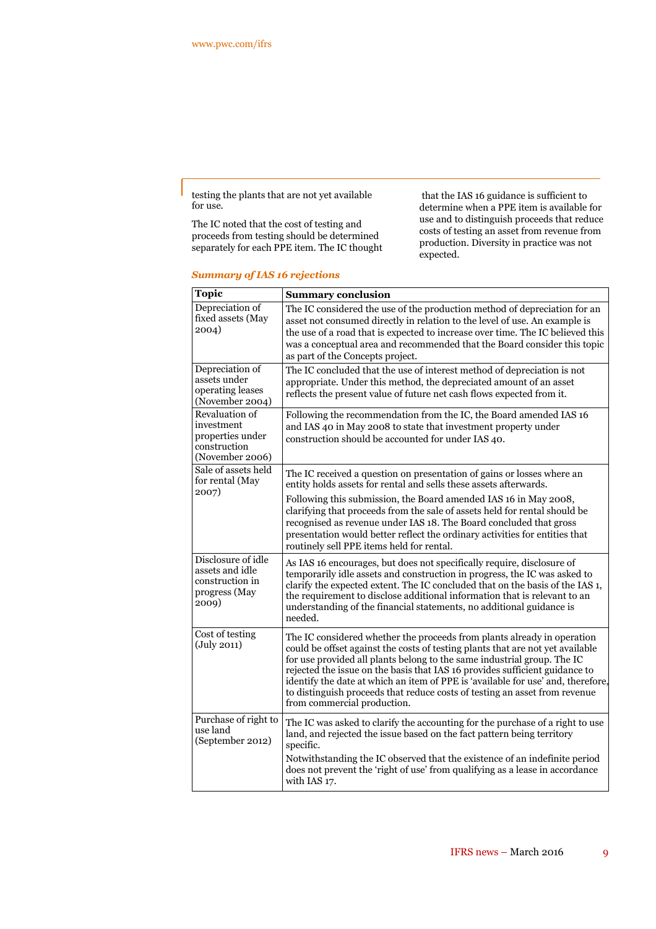testing the plants that are not yet available for use.

The IC noted that the cost of testing and proceeds from testing should be determined separately for each PPE item. The IC thought

that the IAS 16 guidance is sufficient to determine when a PPE item is available for use and to distinguish proceeds that reduce costs of testing an asset from revenue from production. Diversity in practice was not expected.

### *Summary of IAS 16 rejections*

| <b>Topic</b>                                                                        | <b>Summary conclusion</b>                                                                                                                                                                                                                                                                                                                                                                                                                                                                                            |
|-------------------------------------------------------------------------------------|----------------------------------------------------------------------------------------------------------------------------------------------------------------------------------------------------------------------------------------------------------------------------------------------------------------------------------------------------------------------------------------------------------------------------------------------------------------------------------------------------------------------|
| Depreciation of<br>fixed assets (May<br>2004)                                       | The IC considered the use of the production method of depreciation for an<br>asset not consumed directly in relation to the level of use. An example is<br>the use of a road that is expected to increase over time. The IC believed this<br>was a conceptual area and recommended that the Board consider this topic<br>as part of the Concepts project.                                                                                                                                                            |
| Depreciation of<br>assets under<br>operating leases<br>(November 2004)              | The IC concluded that the use of interest method of depreciation is not<br>appropriate. Under this method, the depreciated amount of an asset<br>reflects the present value of future net cash flows expected from it.                                                                                                                                                                                                                                                                                               |
| Revaluation of<br>investment<br>properties under<br>construction<br>(November 2006) | Following the recommendation from the IC, the Board amended IAS 16<br>and IAS 40 in May 2008 to state that investment property under<br>construction should be accounted for under IAS 40.                                                                                                                                                                                                                                                                                                                           |
| Sale of assets held<br>for rental (May                                              | The IC received a question on presentation of gains or losses where an<br>entity holds assets for rental and sells these assets afterwards.                                                                                                                                                                                                                                                                                                                                                                          |
| 2007)                                                                               | Following this submission, the Board amended IAS 16 in May 2008,<br>clarifying that proceeds from the sale of assets held for rental should be<br>recognised as revenue under IAS 18. The Board concluded that gross<br>presentation would better reflect the ordinary activities for entities that<br>routinely sell PPE items held for rental.                                                                                                                                                                     |
| Disclosure of idle<br>assets and idle<br>construction in<br>progress (May<br>2009)  | As IAS 16 encourages, but does not specifically require, disclosure of<br>temporarily idle assets and construction in progress, the IC was asked to<br>clarify the expected extent. The IC concluded that on the basis of the IAS 1,<br>the requirement to disclose additional information that is relevant to an<br>understanding of the financial statements, no additional guidance is<br>needed.                                                                                                                 |
| Cost of testing<br>$(\mathrm{July\ 2011})$                                          | The IC considered whether the proceeds from plants already in operation<br>could be offset against the costs of testing plants that are not yet available<br>for use provided all plants belong to the same industrial group. The IC<br>rejected the issue on the basis that IAS 16 provides sufficient guidance to<br>identify the date at which an item of PPE is 'available for use' and, therefore,<br>to distinguish proceeds that reduce costs of testing an asset from revenue<br>from commercial production. |
| Purchase of right to<br>use land<br>(September 2012)                                | The IC was asked to clarify the accounting for the purchase of a right to use<br>land, and rejected the issue based on the fact pattern being territory<br>specific.                                                                                                                                                                                                                                                                                                                                                 |
|                                                                                     | Notwithstanding the IC observed that the existence of an indefinite period<br>does not prevent the 'right of use' from qualifying as a lease in accordance<br>with IAS 17.                                                                                                                                                                                                                                                                                                                                           |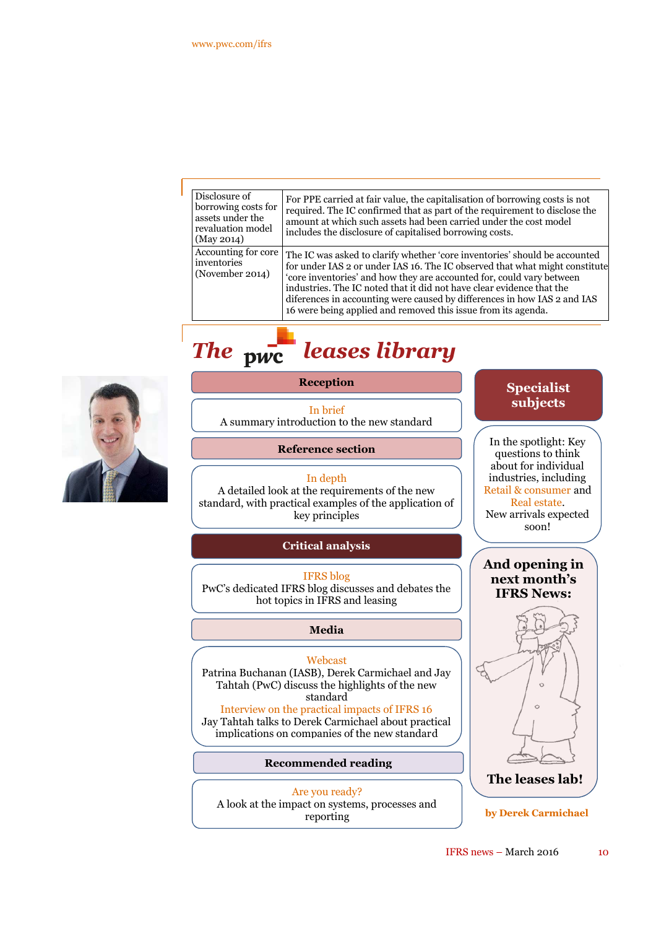| Disclosure of<br>borrowing costs for<br>assets under the<br>revaluation model<br>(May 2014) | For PPE carried at fair value, the capitalisation of borrowing costs is not<br>required. The IC confirmed that as part of the requirement to disclose the<br>amount at which such assets had been carried under the cost model<br>includes the disclosure of capitalised borrowing costs.                                                                                                                                                                |
|---------------------------------------------------------------------------------------------|----------------------------------------------------------------------------------------------------------------------------------------------------------------------------------------------------------------------------------------------------------------------------------------------------------------------------------------------------------------------------------------------------------------------------------------------------------|
| Accounting for core<br>inventories<br>(November 2014)                                       | The IC was asked to clarify whether 'core inventories' should be accounted<br>for under IAS 2 or under IAS 16. The IC observed that what might constitute<br>'core inventories' and how they are accounted for, could vary between<br>industries. The IC noted that it did not have clear evidence that the<br>diferences in accounting were caused by differences in how IAS 2 and IAS<br>16 were being applied and removed this issue from its agenda. |

# *The leases library*



### **Reception**

In brief A summary introduction to the new standard

**Reference section**

#### In depth

A detailed look at the requirements of the new standard, with practical examples of the application of key principles

### **Critical analysis**

IFRS blog PwC's dedicated IFRS blog discusses and debates the hot topics in IFRS and leasing

### **Media**

#### Webcast

Patrina Buchanan (IASB), Derek Carmichael and Jay Tahtah (PwC) discuss the highlights of the new standard

Interview on the practical impacts of IFRS 16 Jay Tahtah talks to Derek Carmichael about practical implications on companies of the new standard

#### **Recommended reading**

Are you ready? A look at the impact on systems, processes and reporting

# **Specialist subjects**

**And opening in next month's IFRS News:** In the spotlight: Key questions to think about for individual industries, including Retail & consumer and Real estate. New arrivals expected soon!



**by Derek Carmichael**